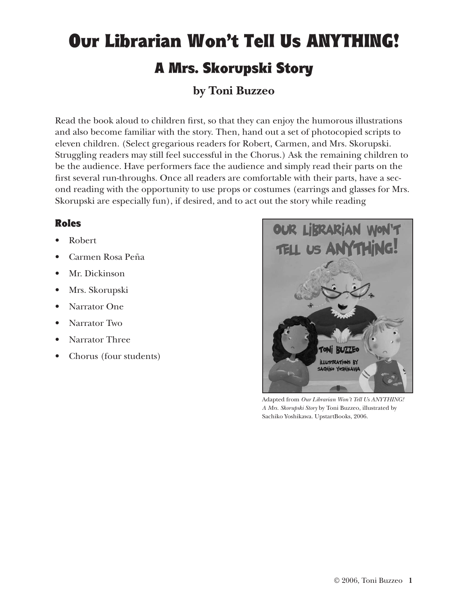## Our Librarian Won't Tell Us ANYTHING! A Mrs. Skorupski Story

## **by Toni Buzzeo**

Read the book aloud to children first, so that they can enjoy the humorous illustrations and also become familiar with the story. Then, hand out a set of photocopied scripts to eleven children. (Select gregarious readers for Robert, Carmen, and Mrs. Skorupski. Struggling readers may still feel successful in the Chorus.) Ask the remaining children to be the audience. Have performers face the audience and simply read their parts on the first several run-throughs. Once all readers are comfortable with their parts, have a second reading with the opportunity to use props or costumes (earrings and glasses for Mrs. Skorupski are especially fun), if desired, and to act out the story while reading

## Roles

- Robert
- Carmen Rosa Peña
- Mr. Dickinson
- Mrs. Skorupski
- Narrator One
- Narrator Two
- Narrator Three
- Chorus (four students)



Adapted from *Our Librarian Won't Tell Us ANYTHING! A Mrs. Skorupski Story* by Toni Buzzeo, illustrated by Sachiko Yoshikawa. UpstartBooks, 2006.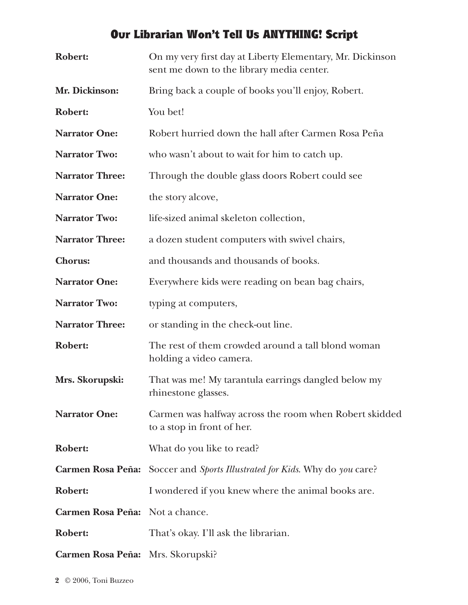## Our Librarian Won't Tell Us ANYTHING! Script

| <b>Robert:</b>           | On my very first day at Liberty Elementary, Mr. Dickinson<br>sent me down to the library media center. |
|--------------------------|--------------------------------------------------------------------------------------------------------|
| Mr. Dickinson:           | Bring back a couple of books you'll enjoy, Robert.                                                     |
| Robert:                  | You bet!                                                                                               |
| <b>Narrator One:</b>     | Robert hurried down the hall after Carmen Rosa Peña                                                    |
| <b>Narrator Two:</b>     | who wasn't about to wait for him to catch up.                                                          |
| <b>Narrator Three:</b>   | Through the double glass doors Robert could see                                                        |
| <b>Narrator One:</b>     | the story alcove,                                                                                      |
| <b>Narrator Two:</b>     | life-sized animal skeleton collection,                                                                 |
| <b>Narrator Three:</b>   | a dozen student computers with swivel chairs,                                                          |
| <b>Chorus:</b>           | and thousands and thousands of books.                                                                  |
| <b>Narrator One:</b>     | Everywhere kids were reading on bean bag chairs,                                                       |
| <b>Narrator Two:</b>     | typing at computers,                                                                                   |
| <b>Narrator Three:</b>   | or standing in the check-out line.                                                                     |
| Robert:                  | The rest of them crowded around a tall blond woman<br>holding a video camera.                          |
| Mrs. Skorupski:          | That was me! My tarantula earrings dangled below my<br>rhinestone glasses.                             |
| <b>Narrator One:</b>     | Carmen was halfway across the room when Robert skidded<br>to a stop in front of her.                   |
| <b>Robert:</b>           | What do you like to read?                                                                              |
| <b>Carmen Rosa Peña:</b> | Soccer and Sports Illustrated for Kids. Why do you care?                                               |
| Robert:                  | I wondered if you knew where the animal books are.                                                     |
| <b>Carmen Rosa Peña:</b> | Not a chance.                                                                                          |
| <b>Robert:</b>           | That's okay. I'll ask the librarian.                                                                   |
| <b>Carmen Rosa Peña:</b> | Mrs. Skorupski?                                                                                        |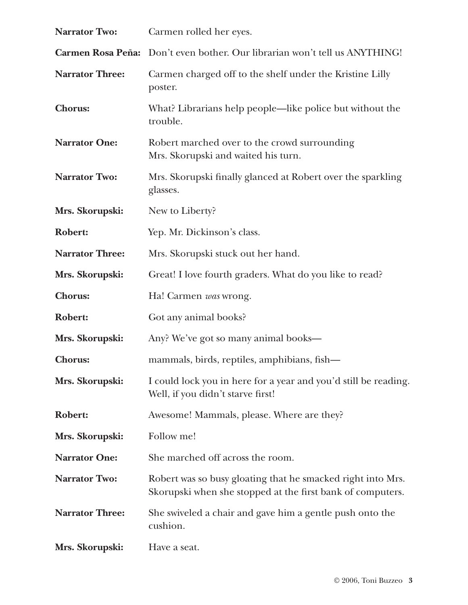| <b>Narrator Two:</b>   | Carmen rolled her eyes.                                                                                                   |
|------------------------|---------------------------------------------------------------------------------------------------------------------------|
|                        | Carmen Rosa Peña: Don't even bother. Our librarian won't tell us ANYTHING!                                                |
| <b>Narrator Three:</b> | Carmen charged off to the shelf under the Kristine Lilly<br>poster.                                                       |
| <b>Chorus:</b>         | What? Librarians help people—like police but without the<br>trouble.                                                      |
| <b>Narrator One:</b>   | Robert marched over to the crowd surrounding<br>Mrs. Skorupski and waited his turn.                                       |
| <b>Narrator Two:</b>   | Mrs. Skorupski finally glanced at Robert over the sparkling<br>glasses.                                                   |
| Mrs. Skorupski:        | New to Liberty?                                                                                                           |
| <b>Robert:</b>         | Yep. Mr. Dickinson's class.                                                                                               |
| <b>Narrator Three:</b> | Mrs. Skorupski stuck out her hand.                                                                                        |
| Mrs. Skorupski:        | Great! I love fourth graders. What do you like to read?                                                                   |
| <b>Chorus:</b>         | Ha! Carmen was wrong.                                                                                                     |
| <b>Robert:</b>         | Got any animal books?                                                                                                     |
| Mrs. Skorupski:        | Any? We've got so many animal books—                                                                                      |
| <b>Chorus:</b>         | mammals, birds, reptiles, amphibians, fish-                                                                               |
| Mrs. Skorupski:        | I could lock you in here for a year and you'd still be reading.<br>Well, if you didn't starve first!                      |
| <b>Robert:</b>         | Awesome! Mammals, please. Where are they?                                                                                 |
| Mrs. Skorupski:        | Follow me!                                                                                                                |
| <b>Narrator One:</b>   | She marched off across the room.                                                                                          |
| <b>Narrator Two:</b>   | Robert was so busy gloating that he smacked right into Mrs.<br>Skorupski when she stopped at the first bank of computers. |
| <b>Narrator Three:</b> | She swiveled a chair and gave him a gentle push onto the<br>cushion.                                                      |
| Mrs. Skorupski:        | Have a seat.                                                                                                              |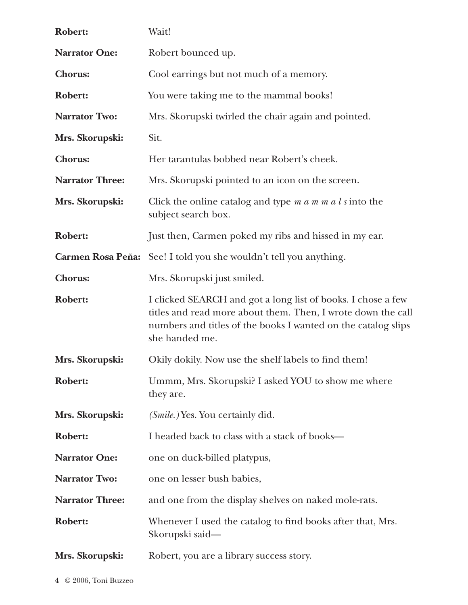| <b>Robert:</b>         | Wait!                                                                                                                                                                                                           |
|------------------------|-----------------------------------------------------------------------------------------------------------------------------------------------------------------------------------------------------------------|
| <b>Narrator One:</b>   | Robert bounced up.                                                                                                                                                                                              |
| <b>Chorus:</b>         | Cool earrings but not much of a memory.                                                                                                                                                                         |
| Robert:                | You were taking me to the mammal books!                                                                                                                                                                         |
| <b>Narrator Two:</b>   | Mrs. Skorupski twirled the chair again and pointed.                                                                                                                                                             |
| Mrs. Skorupski:        | Sit.                                                                                                                                                                                                            |
| <b>Chorus:</b>         | Her tarantulas bobbed near Robert's cheek.                                                                                                                                                                      |
| <b>Narrator Three:</b> | Mrs. Skorupski pointed to an icon on the screen.                                                                                                                                                                |
| Mrs. Skorupski:        | Click the online catalog and type $m a m m a l s$ into the<br>subject search box.                                                                                                                               |
| <b>Robert:</b>         | Just then, Carmen poked my ribs and hissed in my ear.                                                                                                                                                           |
|                        | <b>Carmen Rosa Peña:</b> See! I told you she wouldn't tell you anything.                                                                                                                                        |
| <b>Chorus:</b>         | Mrs. Skorupski just smiled.                                                                                                                                                                                     |
| Robert:                | I clicked SEARCH and got a long list of books. I chose a few<br>titles and read more about them. Then, I wrote down the call<br>numbers and titles of the books I wanted on the catalog slips<br>she handed me. |
| Mrs. Skorupski:        | Okily dokily. Now use the shelf labels to find them!                                                                                                                                                            |
| <b>Robert:</b>         | Ummm, Mrs. Skorupski? I asked YOU to show me where<br>they are.                                                                                                                                                 |
| Mrs. Skorupski:        | ( <i>Smile.</i> ) Yes. You certainly did.                                                                                                                                                                       |
| <b>Robert:</b>         | I headed back to class with a stack of books—                                                                                                                                                                   |
| <b>Narrator One:</b>   | one on duck-billed platypus,                                                                                                                                                                                    |
| <b>Narrator Two:</b>   | one on lesser bush babies,                                                                                                                                                                                      |
| <b>Narrator Three:</b> | and one from the display shelves on naked mole-rats.                                                                                                                                                            |
| <b>Robert:</b>         | Whenever I used the catalog to find books after that, Mrs.<br>Skorupski said—                                                                                                                                   |
| Mrs. Skorupski:        | Robert, you are a library success story.                                                                                                                                                                        |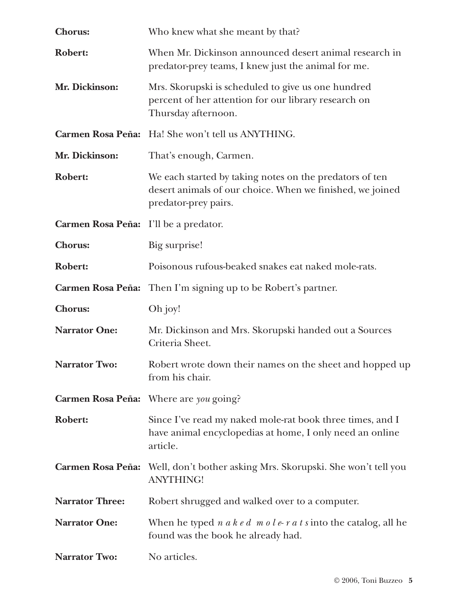| <b>Chorus:</b>                        | Who knew what she meant by that?                                                                                                             |
|---------------------------------------|----------------------------------------------------------------------------------------------------------------------------------------------|
| Robert:                               | When Mr. Dickinson announced desert animal research in<br>predator-prey teams, I knew just the animal for me.                                |
| Mr. Dickinson:                        | Mrs. Skorupski is scheduled to give us one hundred<br>percent of her attention for our library research on<br>Thursday afternoon.            |
|                                       | Carmen Rosa Peña: Ha! She won't tell us ANYTHING.                                                                                            |
| Mr. Dickinson:                        | That's enough, Carmen.                                                                                                                       |
| <b>Robert:</b>                        | We each started by taking notes on the predators of ten<br>desert animals of our choice. When we finished, we joined<br>predator-prey pairs. |
| Carmen Rosa Peña: I'll be a predator. |                                                                                                                                              |
| <b>Chorus:</b>                        | Big surprise!                                                                                                                                |
| <b>Robert:</b>                        | Poisonous rufous-beaked snakes eat naked mole-rats.                                                                                          |
| <b>Carmen Rosa Peña:</b>              | Then I'm signing up to be Robert's partner.                                                                                                  |
| <b>Chorus:</b>                        | Oh joy!                                                                                                                                      |
| <b>Narrator One:</b>                  | Mr. Dickinson and Mrs. Skorupski handed out a Sources<br>Criteria Sheet.                                                                     |
| <b>Narrator Two:</b>                  | Robert wrote down their names on the sheet and hopped up<br>from his chair.                                                                  |
|                                       | Carmen Rosa Peña: Where are you going?                                                                                                       |
| <b>Robert:</b>                        | Since I've read my naked mole-rat book three times, and I<br>have animal encyclopedias at home, I only need an online<br>article.            |
| <b>Carmen Rosa Peña:</b>              | Well, don't bother asking Mrs. Skorupski. She won't tell you<br><b>ANYTHING!</b>                                                             |
| <b>Narrator Three:</b>                | Robert shrugged and walked over to a computer.                                                                                               |
| <b>Narrator One:</b>                  | When he typed $n \, a \, k \, e \, d \, m \, o \, l \, e \, r \, a \, t \, s$ into the catalog, all he<br>found was the book he already had. |
| <b>Narrator Two:</b>                  | No articles.                                                                                                                                 |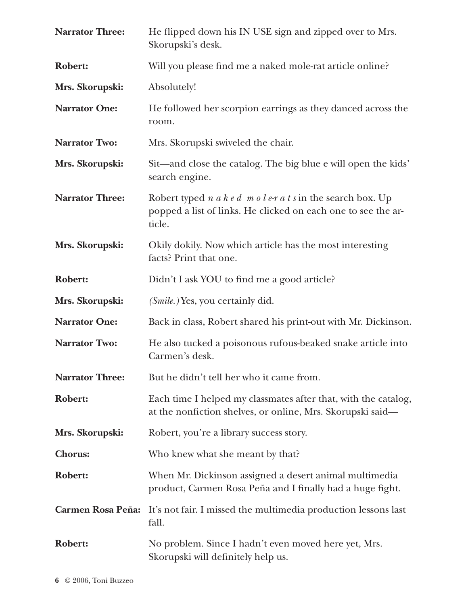| <b>Narrator Three:</b>   | He flipped down his IN USE sign and zipped over to Mrs.<br>Skorupski's desk.                                                                                                  |
|--------------------------|-------------------------------------------------------------------------------------------------------------------------------------------------------------------------------|
| <b>Robert:</b>           | Will you please find me a naked mole-rat article online?                                                                                                                      |
| Mrs. Skorupski:          | Absolutely!                                                                                                                                                                   |
| <b>Narrator One:</b>     | He followed her scorpion earrings as they danced across the<br>room.                                                                                                          |
| <b>Narrator Two:</b>     | Mrs. Skorupski swiveled the chair.                                                                                                                                            |
| Mrs. Skorupski:          | Sit—and close the catalog. The big blue e will open the kids'<br>search engine.                                                                                               |
| <b>Narrator Three:</b>   | Robert typed $n \, a \, k \, e \, d \, m \, o \, l \, e \, r \, a \, t \, s$ in the search box. Up<br>popped a list of links. He clicked on each one to see the ar-<br>ticle. |
| Mrs. Skorupski:          | Okily dokily. Now which article has the most interesting<br>facts? Print that one.                                                                                            |
| <b>Robert:</b>           | Didn't I ask YOU to find me a good article?                                                                                                                                   |
| Mrs. Skorupski:          | ( <i>Smile.</i> ) Yes, you certainly did.                                                                                                                                     |
| <b>Narrator One:</b>     | Back in class, Robert shared his print-out with Mr. Dickinson.                                                                                                                |
| <b>Narrator Two:</b>     | He also tucked a poisonous rufous-beaked snake article into<br>Carmen's desk.                                                                                                 |
| <b>Narrator Three:</b>   | But he didn't tell her who it came from.                                                                                                                                      |
| Robert:                  | Each time I helped my classmates after that, with the catalog,<br>at the nonfiction shelves, or online, Mrs. Skorupski said-                                                  |
| Mrs. Skorupski:          | Robert, you're a library success story.                                                                                                                                       |
| <b>Chorus:</b>           | Who knew what she meant by that?                                                                                                                                              |
| <b>Robert:</b>           | When Mr. Dickinson assigned a desert animal multimedia<br>product, Carmen Rosa Peña and I finally had a huge fight.                                                           |
| <b>Carmen Rosa Peña:</b> | It's not fair. I missed the multimedia production lessons last<br>fall.                                                                                                       |
| <b>Robert:</b>           | No problem. Since I hadn't even moved here yet, Mrs.<br>Skorupski will definitely help us.                                                                                    |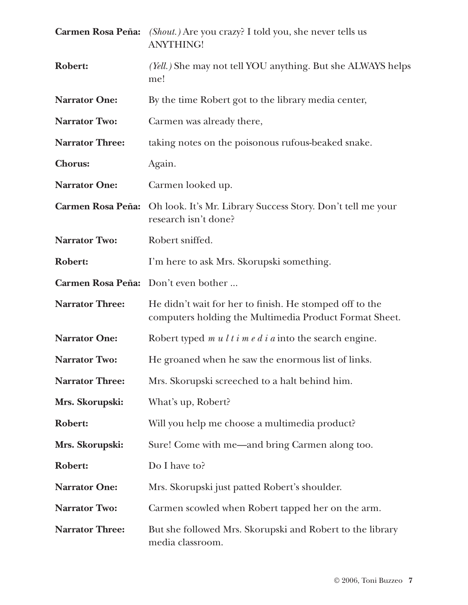|                          | <b>Carmen Rosa Peña:</b> (Shout.) Are you crazy? I told you, she never tells us<br><b>ANYTHING!</b>               |
|--------------------------|-------------------------------------------------------------------------------------------------------------------|
| <b>Robert:</b>           | (Yell.) She may not tell YOU anything. But she ALWAYS helps<br>me!                                                |
| <b>Narrator One:</b>     | By the time Robert got to the library media center,                                                               |
| <b>Narrator Two:</b>     | Carmen was already there,                                                                                         |
| <b>Narrator Three:</b>   | taking notes on the poisonous rufous-beaked snake.                                                                |
| <b>Chorus:</b>           | Again.                                                                                                            |
| <b>Narrator One:</b>     | Carmen looked up.                                                                                                 |
| <b>Carmen Rosa Peña:</b> | Oh look. It's Mr. Library Success Story. Don't tell me your<br>research isn't done?                               |
| <b>Narrator Two:</b>     | Robert sniffed.                                                                                                   |
| <b>Robert:</b>           | I'm here to ask Mrs. Skorupski something.                                                                         |
| <b>Carmen Rosa Peña:</b> | Don't even bother                                                                                                 |
| <b>Narrator Three:</b>   | He didn't wait for her to finish. He stomped off to the<br>computers holding the Multimedia Product Format Sheet. |
| <b>Narrator One:</b>     | Robert typed $m u l t i m e d i a$ into the search engine.                                                        |
| <b>Narrator Two:</b>     | He groaned when he saw the enormous list of links.                                                                |
| <b>Narrator Three:</b>   | Mrs. Skorupski screeched to a halt behind him.                                                                    |
| Mrs. Skorupski:          | What's up, Robert?                                                                                                |
| <b>Robert:</b>           | Will you help me choose a multimedia product?                                                                     |
| Mrs. Skorupski:          | Sure! Come with me—and bring Carmen along too.                                                                    |
| <b>Robert:</b>           | Do I have to?                                                                                                     |
| <b>Narrator One:</b>     | Mrs. Skorupski just patted Robert's shoulder.                                                                     |
| <b>Narrator Two:</b>     | Carmen scowled when Robert tapped her on the arm.                                                                 |
| <b>Narrator Three:</b>   | But she followed Mrs. Skorupski and Robert to the library<br>media classroom.                                     |